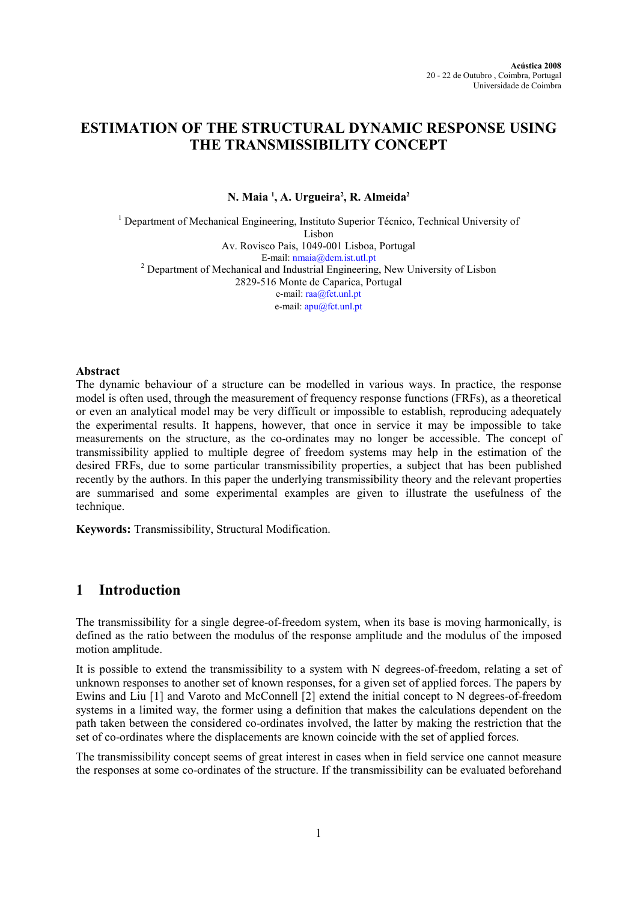# ESTIMATION OF THE STRUCTURAL DYNAMIC RESPONSE USING THE TRANSMISSIBILITY CONCEPT

N. Maia <sup>1</sup>, A. Urgueira<sup>2</sup>, R. Almeida<sup>2</sup>

<sup>1</sup> Department of Mechanical Engineering, Instituto Superior Técnico, Technical University of Lisbon Av. Rovisco Pais, 1049-001 Lisboa, Portugal E-mail: nmaia@dem.ist.utl.pt <sup>2</sup> Department of Mechanical and Industrial Engineering, New University of Lisbon 2829-516 Monte de Caparica, Portugal e-mail: raa@fct.unl.pt e-mail: apu@fct.unl.pt

## Abstract

The dynamic behaviour of a structure can be modelled in various ways. In practice, the response model is often used, through the measurement of frequency response functions (FRFs), as a theoretical or even an analytical model may be very difficult or impossible to establish, reproducing adequately the experimental results. It happens, however, that once in service it may be impossible to take measurements on the structure, as the co-ordinates may no longer be accessible. The concept of transmissibility applied to multiple degree of freedom systems may help in the estimation of the desired FRFs, due to some particular transmissibility properties, a subject that has been published recently by the authors. In this paper the underlying transmissibility theory and the relevant properties are summarised and some experimental examples are given to illustrate the usefulness of the technique.

Keywords: Transmissibility, Structural Modification.

# 1 Introduction

The transmissibility for a single degree-of-freedom system, when its base is moving harmonically, is defined as the ratio between the modulus of the response amplitude and the modulus of the imposed motion amplitude.

It is possible to extend the transmissibility to a system with N degrees-of-freedom, relating a set of unknown responses to another set of known responses, for a given set of applied forces. The papers by Ewins and Liu [1] and Varoto and McConnell [2] extend the initial concept to N degrees-of-freedom systems in a limited way, the former using a definition that makes the calculations dependent on the path taken between the considered co-ordinates involved, the latter by making the restriction that the set of co-ordinates where the displacements are known coincide with the set of applied forces.

The transmissibility concept seems of great interest in cases when in field service one cannot measure the responses at some co-ordinates of the structure. If the transmissibility can be evaluated beforehand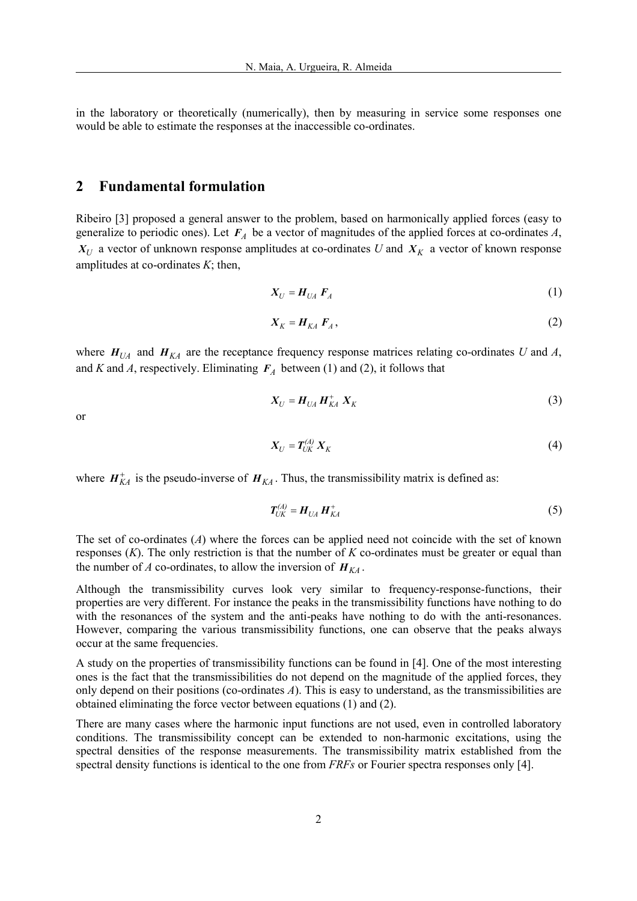in the laboratory or theoretically (numerically), then by measuring in service some responses one would be able to estimate the responses at the inaccessible co-ordinates.

# 2 Fundamental formulation

Ribeiro [3] proposed a general answer to the problem, based on harmonically applied forces (easy to generalize to periodic ones). Let  $F_A$  be a vector of magnitudes of the applied forces at co-ordinates A,  $X_U$  a vector of unknown response amplitudes at co-ordinates U and  $X_K$  a vector of known response amplitudes at co-ordinates  $K$ ; then,

$$
X_U = H_{UA} F_A \tag{1}
$$

$$
X_K = H_{KA} F_A, \tag{2}
$$

where  $H_{U}$  and  $H_{KA}$  are the receptance frequency response matrices relating co-ordinates U and A, and K and A, respectively. Eliminating  $F_A$  between (1) and (2), it follows that

$$
X_U = H_{UA} H_{KA}^+ X_K \tag{3}
$$

or

$$
X_U = T_{UK}^{(A)} X_K \tag{4}
$$

where  $H_{KA}^{+}$  is the pseudo-inverse of  $H_{KA}$ . Thus, the transmissibility matrix is defined as:

$$
T_{UK}^{(A)} = H_{UA} H_{KA}^+ \tag{5}
$$

The set of co-ordinates  $(A)$  where the forces can be applied need not coincide with the set of known responses  $(K)$ . The only restriction is that the number of K co-ordinates must be greater or equal than the number of A co-ordinates, to allow the inversion of  $H_{K_A}$ .

Although the transmissibility curves look very similar to frequency-response-functions, their properties are very different. For instance the peaks in the transmissibility functions have nothing to do with the resonances of the system and the anti-peaks have nothing to do with the anti-resonances. However, comparing the various transmissibility functions, one can observe that the peaks always occur at the same frequencies.

A study on the properties of transmissibility functions can be found in [4]. One of the most interesting ones is the fact that the transmissibilities do not depend on the magnitude of the applied forces, they only depend on their positions (co-ordinates A). This is easy to understand, as the transmissibilities are obtained eliminating the force vector between equations (1) and (2).

There are many cases where the harmonic input functions are not used, even in controlled laboratory conditions. The transmissibility concept can be extended to non-harmonic excitations, using the spectral densities of the response measurements. The transmissibility matrix established from the spectral density functions is identical to the one from *FRFs* or Fourier spectra responses only [4].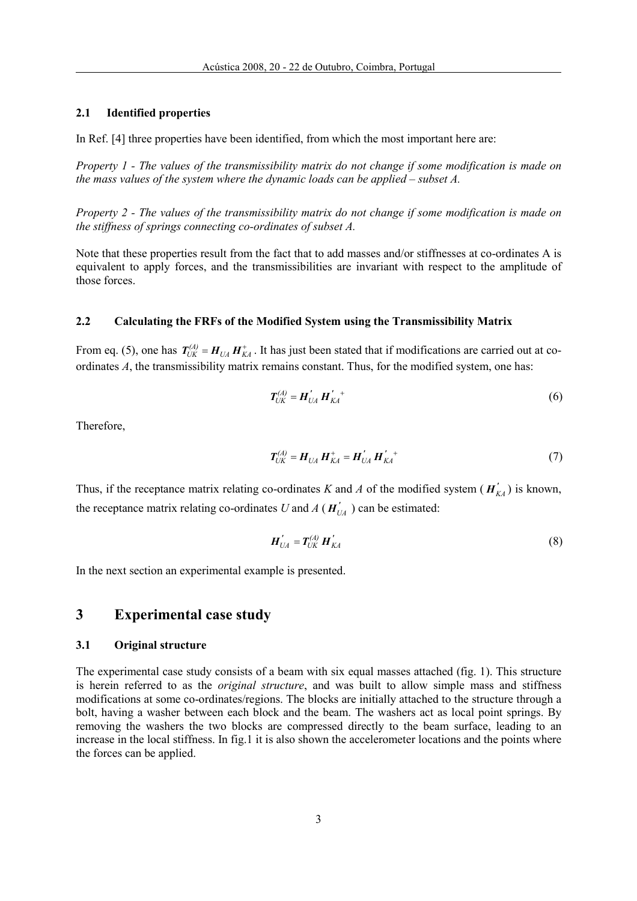### 2.1 Identified properties

In Ref. [4] three properties have been identified, from which the most important here are:

Property 1 - The values of the transmissibility matrix do not change if some modification is made on the mass values of the system where the dynamic loads can be applied – subset  $A$ .

Property 2 - The values of the transmissibility matrix do not change if some modification is made on the stiffness of springs connecting co-ordinates of subset A.

Note that these properties result from the fact that to add masses and/or stiffnesses at co-ordinates A is equivalent to apply forces, and the transmissibilities are invariant with respect to the amplitude of those forces.

### 2.2 Calculating the FRFs of the Modified System using the Transmissibility Matrix

From eq. (5), one has  $T_{UK}^{(A)} = H_{UA} H_{KA}^+$ . It has just been stated that if modifications are carried out at coordinates A, the transmissibility matrix remains constant. Thus, for the modified system, one has:

$$
T_{UK}^{(A)} = H_{UA}^{'} H_{KA}^{'}{}^{+} \tag{6}
$$

Therefore,

$$
T_{UK}^{(A)} = H_{UA} H_{KA}^+ = H_{UA}^{\prime} H_{KA}^{\prime +}
$$
 (7)

Thus, if the receptance matrix relating co-ordinates K and A of the modified system ( $H'_{KA}$ ) is known, the receptance matrix relating co-ordinates U and A ( $H'_{U_A}$ ) can be estimated:

$$
\boldsymbol{H}_{UA}^{\prime} = \boldsymbol{T}_{UK}^{(A)} \boldsymbol{H}_{KA}^{\prime} \tag{8}
$$

In the next section an experimental example is presented.

# 3 Experimental case study

#### 3.1 Original structure

The experimental case study consists of a beam with six equal masses attached (fig. 1). This structure is herein referred to as the original structure, and was built to allow simple mass and stiffness modifications at some co-ordinates/regions. The blocks are initially attached to the structure through a bolt, having a washer between each block and the beam. The washers act as local point springs. By removing the washers the two blocks are compressed directly to the beam surface, leading to an increase in the local stiffness. In fig.1 it is also shown the accelerometer locations and the points where the forces can be applied.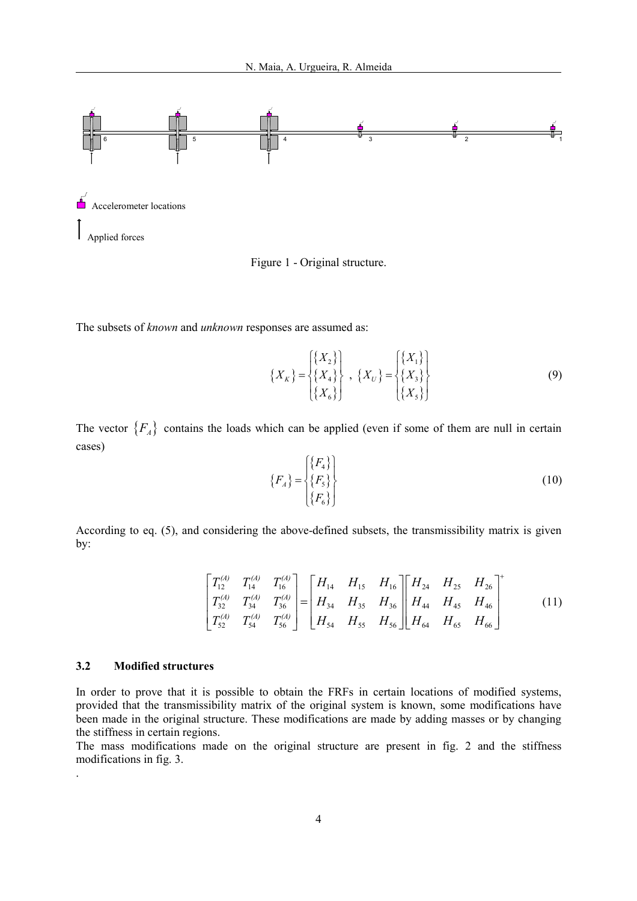

Figure 1 - Original structure.

The subsets of known and unknown responses are assumed as:

$$
\{X_K\} = \begin{Bmatrix} \{X_2\} \\ \{X_4\} \\ \{X_6\} \end{Bmatrix}, \ \{X_U\} = \begin{Bmatrix} \{X_1\} \\ \{X_3\} \\ \{X_5\} \end{Bmatrix}
$$
 (9)

The vector  ${F_A}$  contains the loads which can be applied (even if some of them are null in certain cases)

$$
\{F_A\} = \begin{Bmatrix} \{F_4\} \\ \{F_5\} \\ \{F_6\} \end{Bmatrix}
$$
 (10)

According to eq. (5), and considering the above-defined subsets, the transmissibility matrix is given by:

$$
\begin{bmatrix} T_{12}^{(4)} & T_{14}^{(4)} & T_{16}^{(4)} \ T_{32}^{(4)} & T_{34}^{(4)} & T_{36}^{(4)} \end{bmatrix} = \begin{bmatrix} H_{14} & H_{15} & H_{16} \ H_{34} & H_{35} & H_{36} \ H_{54} & H_{55} & H_{56} \end{bmatrix} \begin{bmatrix} H_{24} & H_{25} & H_{26} \ H_{44} & H_{45} & H_{46} \ H_{64} & H_{65} & H_{66} \end{bmatrix}^{+}
$$
(11)

#### 3.2 Modified structures

.

In order to prove that it is possible to obtain the FRFs in certain locations of modified systems, provided that the transmissibility matrix of the original system is known, some modifications have been made in the original structure. These modifications are made by adding masses or by changing the stiffness in certain regions.

The mass modifications made on the original structure are present in fig. 2 and the stiffness modifications in fig. 3.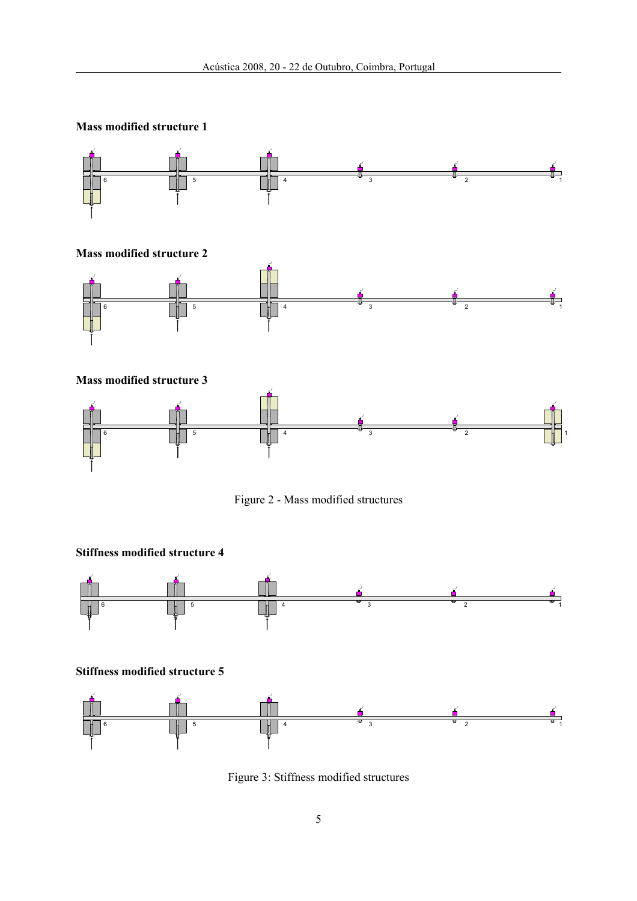

Figure 2 - Mass modified structures



Figure 3: Stiffness modified structures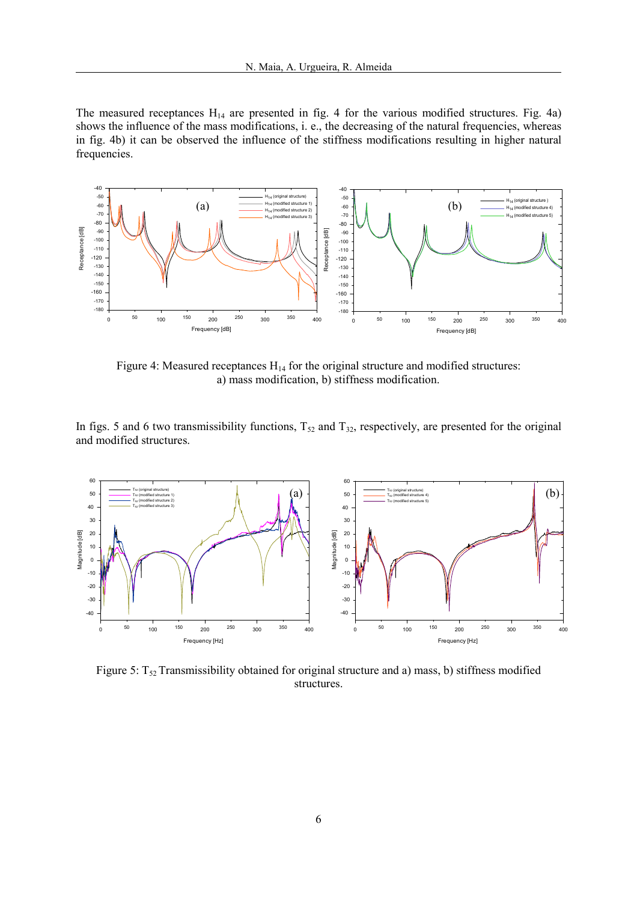The measured receptances  $H_{14}$  are presented in fig. 4 for the various modified structures. Fig. 4a) shows the influence of the mass modifications, i. e., the decreasing of the natural frequencies, whereas in fig. 4b) it can be observed the influence of the stiffness modifications resulting in higher natural frequencies.



Figure 4: Measured receptances  $H_{14}$  for the original structure and modified structures: a) mass modification, b) stiffness modification.

In figs. 5 and 6 two transmissibility functions,  $T_{52}$  and  $T_{32}$ , respectively, are presented for the original and modified structures.



Figure 5:  $T_{52}$  Transmissibility obtained for original structure and a) mass, b) stiffness modified structures.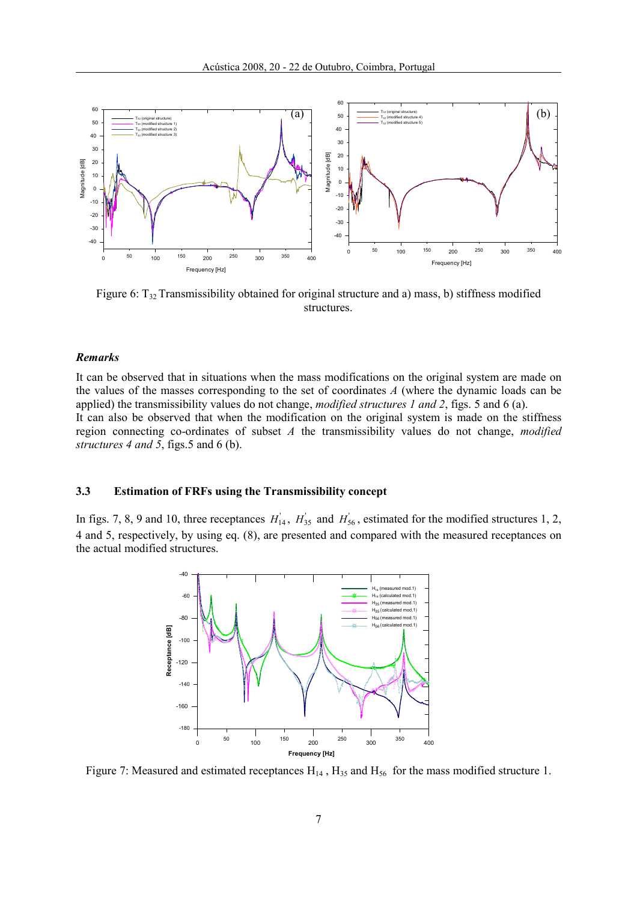

Figure 6:  $T_{32}$  Transmissibility obtained for original structure and a) mass, b) stiffness modified structures.

#### Remarks

It can be observed that in situations when the mass modifications on the original system are made on the values of the masses corresponding to the set of coordinates A (where the dynamic loads can be applied) the transmissibility values do not change, modified structures 1 and 2, figs. 5 and 6 (a). It can also be observed that when the modification on the original system is made on the stiffness region connecting co-ordinates of subset  $A$  the transmissibility values do not change, modified structures 4 and 5, figs. 5 and 6 (b).

## 3.3 Estimation of FRFs using the Transmissibility concept

In figs. 7, 8, 9 and 10, three receptances  $H_{14}$ ,  $H_{35}$  and  $H_{56}$ , estimated for the modified structures 1, 2, 4 and 5, respectively, by using eq. (8), are presented and compared with the measured receptances on the actual modified structures.



Figure 7: Measured and estimated receptances  $H_{14}$ ,  $H_{35}$  and  $H_{56}$  for the mass modified structure 1.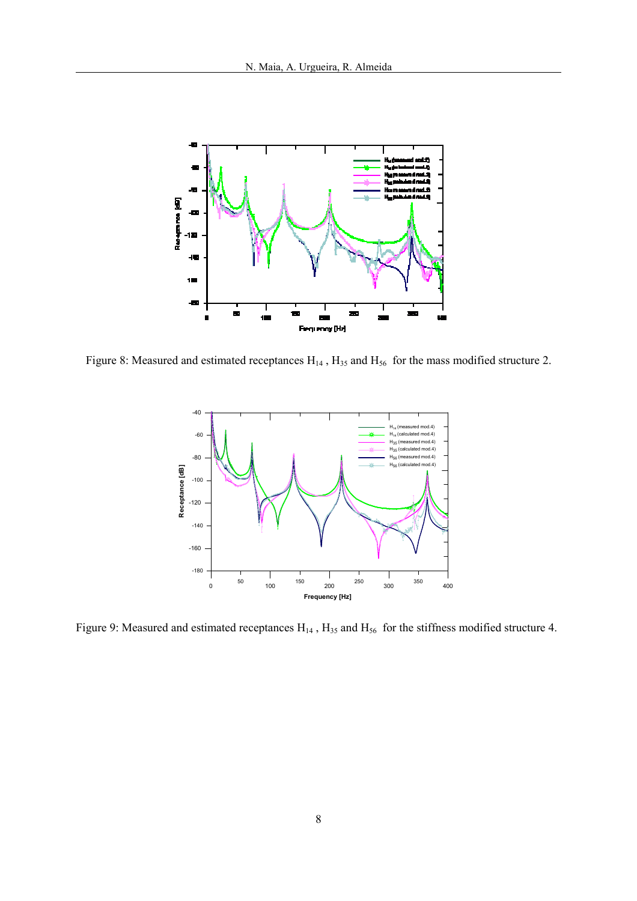

Figure 8: Measured and estimated receptances  $H_{14}$ ,  $H_{35}$  and  $H_{56}$  for the mass modified structure 2.



Figure 9: Measured and estimated receptances  $H_{14}$ ,  $H_{35}$  and  $H_{56}$  for the stiffness modified structure 4.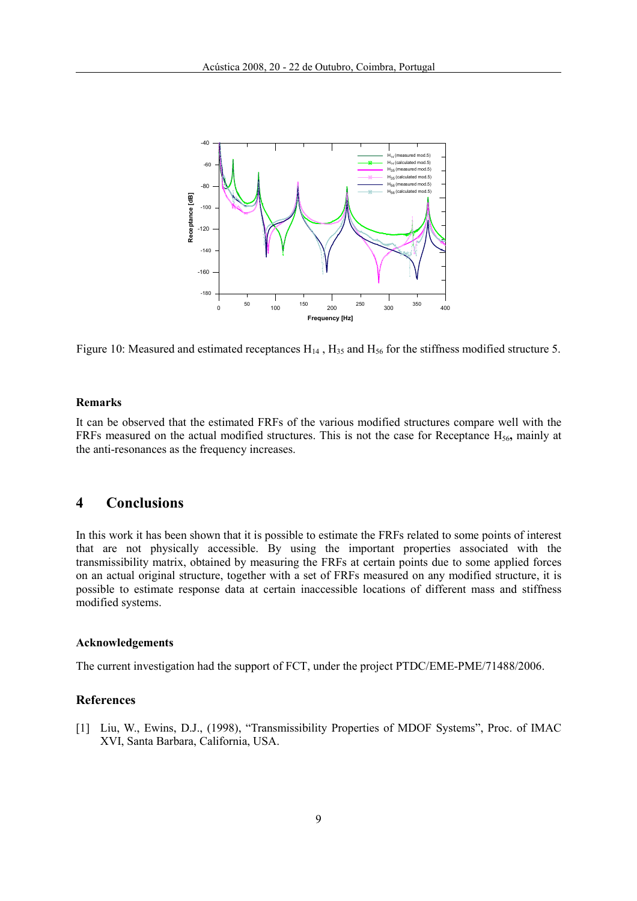

Figure 10: Measured and estimated receptances  $H_{14}$ ,  $H_{35}$  and  $H_{56}$  for the stiffness modified structure 5.

#### Remarks

It can be observed that the estimated FRFs of the various modified structures compare well with the FRFs measured on the actual modified structures. This is not the case for Receptance  $H_{56}$ , mainly at the anti-resonances as the frequency increases.

# 4 Conclusions

In this work it has been shown that it is possible to estimate the FRFs related to some points of interest that are not physically accessible. By using the important properties associated with the transmissibility matrix, obtained by measuring the FRFs at certain points due to some applied forces on an actual original structure, together with a set of FRFs measured on any modified structure, it is possible to estimate response data at certain inaccessible locations of different mass and stiffness modified systems.

#### Acknowledgements

The current investigation had the support of FCT, under the project PTDC/EME-PME/71488/2006.

## References

[1] Liu, W., Ewins, D.J., (1998), "Transmissibility Properties of MDOF Systems", Proc. of IMAC XVI, Santa Barbara, California, USA.